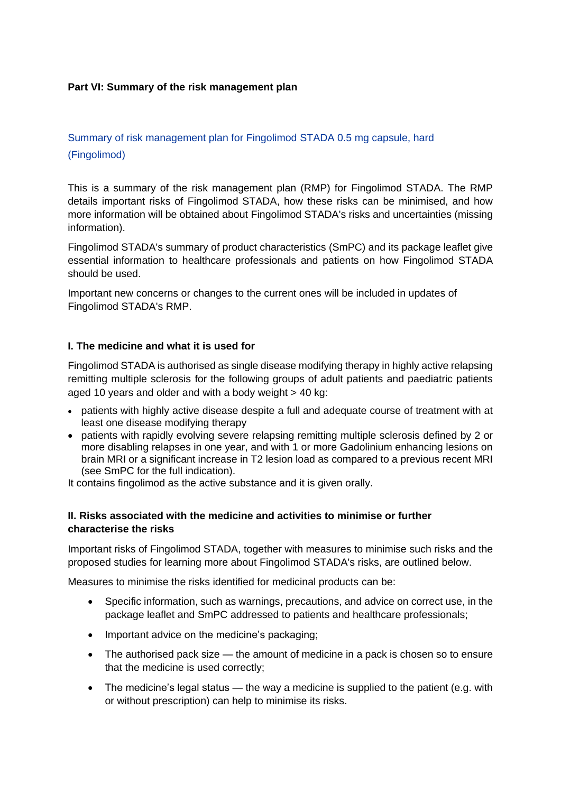### **Part VI: Summary of the risk management plan**

# Summary of risk management plan for Fingolimod STADA 0.5 mg capsule, hard (Fingolimod)

This is a summary of the risk management plan (RMP) for Fingolimod STADA. The RMP details important risks of Fingolimod STADA, how these risks can be minimised, and how more information will be obtained about Fingolimod STADA's risks and uncertainties (missing information).

Fingolimod STADA's summary of product characteristics (SmPC) and its package leaflet give essential information to healthcare professionals and patients on how Fingolimod STADA should be used.

Important new concerns or changes to the current ones will be included in updates of Fingolimod STADA's RMP.

#### **I. The medicine and what it is used for**

Fingolimod STADA is authorised as single disease modifying therapy in highly active relapsing remitting multiple sclerosis for the following groups of adult patients and paediatric patients aged 10 years and older and with a body weight > 40 kg:

- patients with highly active disease despite a full and adequate course of treatment with at least one disease modifying therapy
- patients with rapidly evolving severe relapsing remitting multiple sclerosis defined by 2 or more disabling relapses in one year, and with 1 or more Gadolinium enhancing lesions on brain MRI or a significant increase in T2 lesion load as compared to a previous recent MRI (see SmPC for the full indication).

It contains fingolimod as the active substance and it is given orally.

#### **II. Risks associated with the medicine and activities to minimise or further characterise the risks**

Important risks of Fingolimod STADA, together with measures to minimise such risks and the proposed studies for learning more about Fingolimod STADA's risks, are outlined below.

Measures to minimise the risks identified for medicinal products can be:

- Specific information, such as warnings, precautions, and advice on correct use, in the package leaflet and SmPC addressed to patients and healthcare professionals;
- Important advice on the medicine's packaging;
- The authorised pack size the amount of medicine in a pack is chosen so to ensure that the medicine is used correctly;
- The medicine's legal status the way a medicine is supplied to the patient (e.g. with or without prescription) can help to minimise its risks.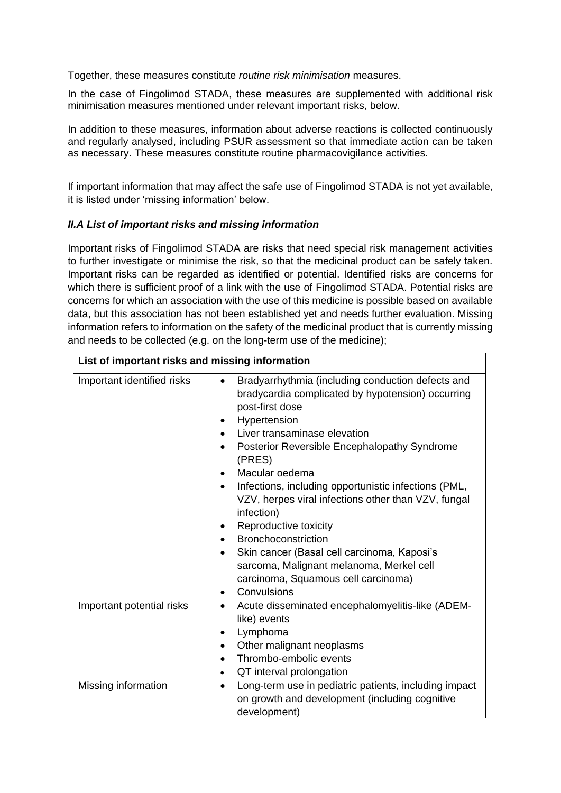Together, these measures constitute *routine risk minimisation* measures.

In the case of Fingolimod STADA, these measures are supplemented with additional risk minimisation measures mentioned under relevant important risks, below.

In addition to these measures, information about adverse reactions is collected continuously and regularly analysed, including PSUR assessment so that immediate action can be taken as necessary. These measures constitute routine pharmacovigilance activities.

If important information that may affect the safe use of Fingolimod STADA is not yet available, it is listed under 'missing information' below.

#### *II.A List of important risks and missing information*

Important risks of Fingolimod STADA are risks that need special risk management activities to further investigate or minimise the risk, so that the medicinal product can be safely taken. Important risks can be regarded as identified or potential. Identified risks are concerns for which there is sufficient proof of a link with the use of Fingolimod STADA. Potential risks are concerns for which an association with the use of this medicine is possible based on available data, but this association has not been established yet and needs further evaluation. Missing information refers to information on the safety of the medicinal product that is currently missing and needs to be collected (e.g. on the long-term use of the medicine);

| List of important risks and missing information |                                                                                                                                                                                                                                                                                                                                                                                                                                                                                                                                                                                                                                                           |  |
|-------------------------------------------------|-----------------------------------------------------------------------------------------------------------------------------------------------------------------------------------------------------------------------------------------------------------------------------------------------------------------------------------------------------------------------------------------------------------------------------------------------------------------------------------------------------------------------------------------------------------------------------------------------------------------------------------------------------------|--|
| Important identified risks                      | Bradyarrhythmia (including conduction defects and<br>bradycardia complicated by hypotension) occurring<br>post-first dose<br>Hypertension<br>Liver transaminase elevation<br>Posterior Reversible Encephalopathy Syndrome<br>$\bullet$<br>(PRES)<br>Macular oedema<br>$\bullet$<br>Infections, including opportunistic infections (PML,<br>$\bullet$<br>VZV, herpes viral infections other than VZV, fungal<br>infection)<br>Reproductive toxicity<br>$\bullet$<br>Bronchoconstriction<br>$\bullet$<br>Skin cancer (Basal cell carcinoma, Kaposi's<br>sarcoma, Malignant melanoma, Merkel cell<br>carcinoma, Squamous cell carcinoma)<br>Convulsions<br>٠ |  |
| Important potential risks                       | Acute disseminated encephalomyelitis-like (ADEM-<br>$\bullet$<br>like) events<br>Lymphoma<br>$\bullet$<br>Other malignant neoplasms<br>Thrombo-embolic events<br>$\bullet$<br>QT interval prolongation<br>$\bullet$                                                                                                                                                                                                                                                                                                                                                                                                                                       |  |
| Missing information                             | Long-term use in pediatric patients, including impact<br>$\bullet$<br>on growth and development (including cognitive<br>development)                                                                                                                                                                                                                                                                                                                                                                                                                                                                                                                      |  |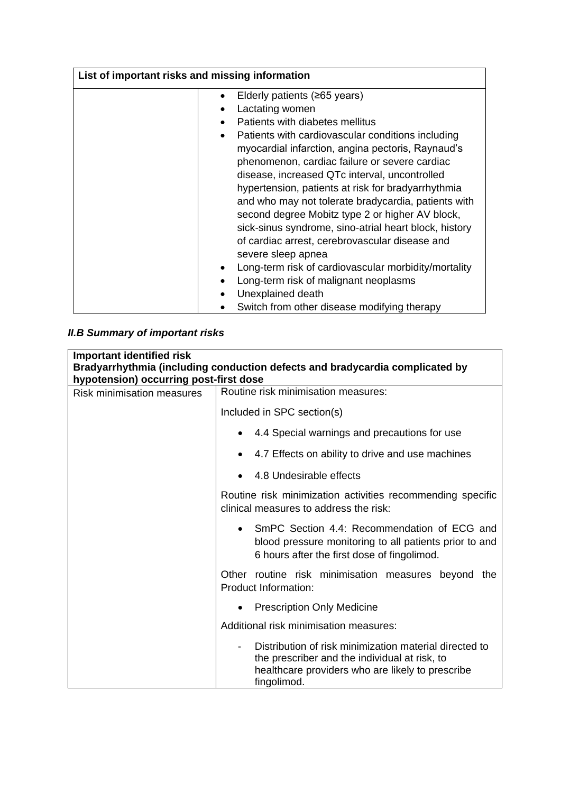| List of important risks and missing information |                                                                                                                                                                                                                                                                                                                                                                                                                                                                                                                                                                                                                                                                                                                                                                                                                       |
|-------------------------------------------------|-----------------------------------------------------------------------------------------------------------------------------------------------------------------------------------------------------------------------------------------------------------------------------------------------------------------------------------------------------------------------------------------------------------------------------------------------------------------------------------------------------------------------------------------------------------------------------------------------------------------------------------------------------------------------------------------------------------------------------------------------------------------------------------------------------------------------|
|                                                 | Elderly patients $(≥65 \text{ years})$<br>Lactating women<br>$\bullet$<br>Patients with diabetes mellitus<br>$\bullet$<br>Patients with cardiovascular conditions including<br>$\bullet$<br>myocardial infarction, angina pectoris, Raynaud's<br>phenomenon, cardiac failure or severe cardiac<br>disease, increased QTc interval, uncontrolled<br>hypertension, patients at risk for bradyarrhythmia<br>and who may not tolerate bradycardia, patients with<br>second degree Mobitz type 2 or higher AV block,<br>sick-sinus syndrome, sino-atrial heart block, history<br>of cardiac arrest, cerebrovascular disease and<br>severe sleep apnea<br>Long-term risk of cardiovascular morbidity/mortality<br>Long-term risk of malignant neoplasms<br>Unexplained death<br>Switch from other disease modifying therapy |
|                                                 |                                                                                                                                                                                                                                                                                                                                                                                                                                                                                                                                                                                                                                                                                                                                                                                                                       |

# *II.B Summary of important risks*

| <b>Important identified risk</b><br>hypotension) occurring post-first dose | Bradyarrhythmia (including conduction defects and bradycardia complicated by                                                                                               |
|----------------------------------------------------------------------------|----------------------------------------------------------------------------------------------------------------------------------------------------------------------------|
| <b>Risk minimisation measures</b>                                          | Routine risk minimisation measures:                                                                                                                                        |
|                                                                            | Included in SPC section(s)                                                                                                                                                 |
|                                                                            | 4.4 Special warnings and precautions for use                                                                                                                               |
|                                                                            | 4.7 Effects on ability to drive and use machines                                                                                                                           |
|                                                                            | 4.8 Undesirable effects                                                                                                                                                    |
|                                                                            | Routine risk minimization activities recommending specific<br>clinical measures to address the risk:                                                                       |
|                                                                            | SmPC Section 4.4: Recommendation of ECG and<br>$\bullet$<br>blood pressure monitoring to all patients prior to and<br>6 hours after the first dose of fingolimod.          |
|                                                                            | Other routine risk minimisation measures beyond the<br>Product Information:                                                                                                |
|                                                                            | <b>Prescription Only Medicine</b>                                                                                                                                          |
|                                                                            | Additional risk minimisation measures:                                                                                                                                     |
|                                                                            | Distribution of risk minimization material directed to<br>the prescriber and the individual at risk, to<br>healthcare providers who are likely to prescribe<br>fingolimod. |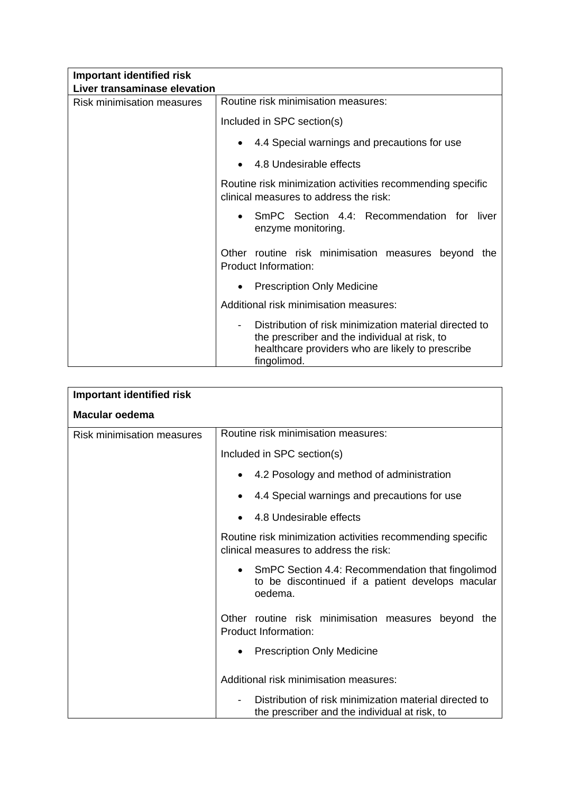| <b>Important identified risk</b>  |                                                                                                                                                                                              |  |
|-----------------------------------|----------------------------------------------------------------------------------------------------------------------------------------------------------------------------------------------|--|
| Liver transaminase elevation      |                                                                                                                                                                                              |  |
| <b>Risk minimisation measures</b> | Routine risk minimisation measures:                                                                                                                                                          |  |
|                                   | Included in SPC section(s)                                                                                                                                                                   |  |
|                                   | 4.4 Special warnings and precautions for use                                                                                                                                                 |  |
|                                   | 4.8 Undesirable effects                                                                                                                                                                      |  |
|                                   | Routine risk minimization activities recommending specific<br>clinical measures to address the risk:                                                                                         |  |
|                                   | SmPC Section 4.4: Recommendation for<br>liver<br>$\bullet$<br>enzyme monitoring.                                                                                                             |  |
|                                   | Other routine risk minimisation measures beyond the<br><b>Product Information:</b>                                                                                                           |  |
|                                   | <b>Prescription Only Medicine</b><br>$\bullet$                                                                                                                                               |  |
|                                   | Additional risk minimisation measures:                                                                                                                                                       |  |
|                                   | Distribution of risk minimization material directed to<br>$\blacksquare$<br>the prescriber and the individual at risk, to<br>healthcare providers who are likely to prescribe<br>fingolimod. |  |

| <b>Important identified risk</b>  |                                                                                                                   |
|-----------------------------------|-------------------------------------------------------------------------------------------------------------------|
| <b>Macular oedema</b>             |                                                                                                                   |
| <b>Risk minimisation measures</b> | Routine risk minimisation measures:                                                                               |
|                                   | Included in SPC section(s)                                                                                        |
|                                   | 4.2 Posology and method of administration<br>$\bullet$                                                            |
|                                   | 4.4 Special warnings and precautions for use                                                                      |
|                                   | 4.8 Undesirable effects                                                                                           |
|                                   | Routine risk minimization activities recommending specific<br>clinical measures to address the risk:              |
|                                   | • SmPC Section 4.4: Recommendation that fingolimod<br>to be discontinued if a patient develops macular<br>oedema. |
|                                   | Other routine risk minimisation measures beyond the<br><b>Product Information:</b>                                |
|                                   | <b>Prescription Only Medicine</b>                                                                                 |
|                                   | Additional risk minimisation measures:                                                                            |
|                                   | Distribution of risk minimization material directed to<br>the prescriber and the individual at risk, to           |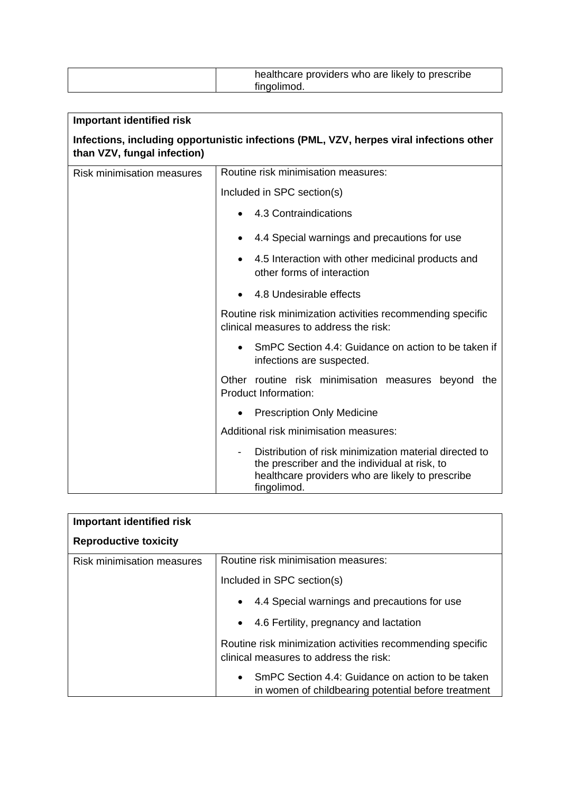| healthcare providers who are likely to prescribe |
|--------------------------------------------------|
| fingolimod.                                      |

| <b>Important identified risk</b>  |                                                                                                                                                                            |
|-----------------------------------|----------------------------------------------------------------------------------------------------------------------------------------------------------------------------|
| than VZV, fungal infection)       | Infections, including opportunistic infections (PML, VZV, herpes viral infections other                                                                                    |
| <b>Risk minimisation measures</b> | Routine risk minimisation measures:                                                                                                                                        |
|                                   | Included in SPC section(s)                                                                                                                                                 |
|                                   | 4.3 Contraindications                                                                                                                                                      |
|                                   | 4.4 Special warnings and precautions for use                                                                                                                               |
|                                   | 4.5 Interaction with other medicinal products and<br>other forms of interaction                                                                                            |
|                                   | 4.8 Undesirable effects                                                                                                                                                    |
|                                   | Routine risk minimization activities recommending specific<br>clinical measures to address the risk:                                                                       |
|                                   | SmPC Section 4.4: Guidance on action to be taken if<br>$\bullet$<br>infections are suspected.                                                                              |
|                                   | Other routine risk minimisation measures beyond the<br><b>Product Information:</b>                                                                                         |
|                                   | <b>Prescription Only Medicine</b>                                                                                                                                          |
|                                   | Additional risk minimisation measures:                                                                                                                                     |
|                                   | Distribution of risk minimization material directed to<br>the prescriber and the individual at risk, to<br>healthcare providers who are likely to prescribe<br>fingolimod. |

| Important identified risk         |                                                                                                                      |
|-----------------------------------|----------------------------------------------------------------------------------------------------------------------|
| <b>Reproductive toxicity</b>      |                                                                                                                      |
| <b>Risk minimisation measures</b> | Routine risk minimisation measures:                                                                                  |
|                                   | Included in SPC section(s)                                                                                           |
|                                   | 4.4 Special warnings and precautions for use<br>$\bullet$                                                            |
|                                   | • 4.6 Fertility, pregnancy and lactation                                                                             |
|                                   | Routine risk minimization activities recommending specific<br>clinical measures to address the risk:                 |
|                                   | SmPC Section 4.4: Guidance on action to be taken<br>$\bullet$<br>in women of childbearing potential before treatment |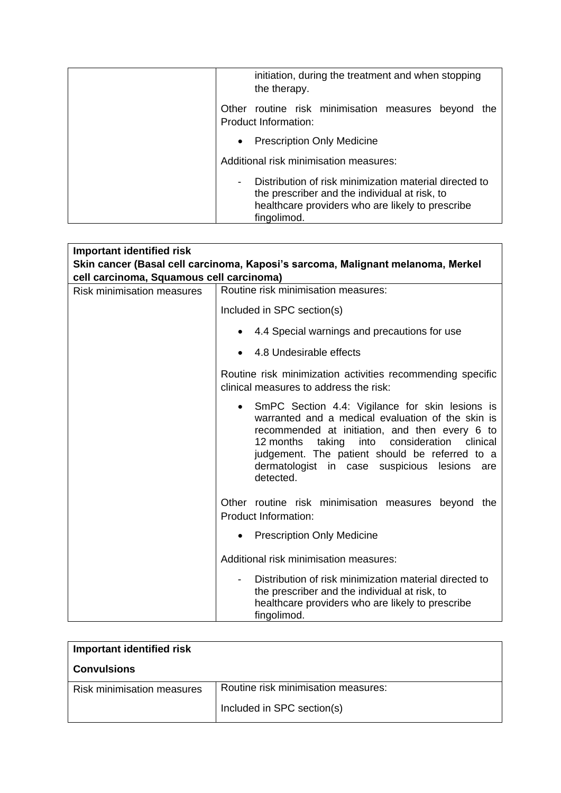| initiation, during the treatment and when stopping<br>the therapy.                                                                                                                                     |
|--------------------------------------------------------------------------------------------------------------------------------------------------------------------------------------------------------|
| Other routine risk minimisation measures beyond<br>the<br>Product Information:                                                                                                                         |
| <b>Prescription Only Medicine</b><br>$\bullet$                                                                                                                                                         |
| Additional risk minimisation measures:                                                                                                                                                                 |
| Distribution of risk minimization material directed to<br>$\overline{\phantom{a}}$<br>the prescriber and the individual at risk, to<br>healthcare providers who are likely to prescribe<br>fingolimod. |

| <b>Important identified risk</b>         |                                                                                                                                                                                                                                                                                                                                          |
|------------------------------------------|------------------------------------------------------------------------------------------------------------------------------------------------------------------------------------------------------------------------------------------------------------------------------------------------------------------------------------------|
|                                          | Skin cancer (Basal cell carcinoma, Kaposi's sarcoma, Malignant melanoma, Merkel                                                                                                                                                                                                                                                          |
| cell carcinoma, Squamous cell carcinoma) |                                                                                                                                                                                                                                                                                                                                          |
| <b>Risk minimisation measures</b>        | Routine risk minimisation measures:                                                                                                                                                                                                                                                                                                      |
|                                          | Included in SPC section(s)                                                                                                                                                                                                                                                                                                               |
|                                          | 4.4 Special warnings and precautions for use                                                                                                                                                                                                                                                                                             |
|                                          | 4.8 Undesirable effects                                                                                                                                                                                                                                                                                                                  |
|                                          | Routine risk minimization activities recommending specific<br>clinical measures to address the risk:                                                                                                                                                                                                                                     |
|                                          | SmPC Section 4.4: Vigilance for skin lesions is<br>$\bullet$<br>warranted and a medical evaluation of the skin is<br>recommended at initiation, and then every 6 to<br>into consideration clinical<br>12 months taking<br>judgement. The patient should be referred to a<br>dermatologist in case suspicious lesions<br>are<br>detected. |
|                                          | Other routine risk minimisation measures beyond the<br><b>Product Information:</b>                                                                                                                                                                                                                                                       |
|                                          | <b>Prescription Only Medicine</b>                                                                                                                                                                                                                                                                                                        |
|                                          | Additional risk minimisation measures:                                                                                                                                                                                                                                                                                                   |
|                                          | Distribution of risk minimization material directed to<br>the prescriber and the individual at risk, to<br>healthcare providers who are likely to prescribe<br>fingolimod.                                                                                                                                                               |

| Important identified risk         |                                     |
|-----------------------------------|-------------------------------------|
| <b>Convulsions</b>                |                                     |
| <b>Risk minimisation measures</b> | Routine risk minimisation measures: |
|                                   | Included in SPC section(s)          |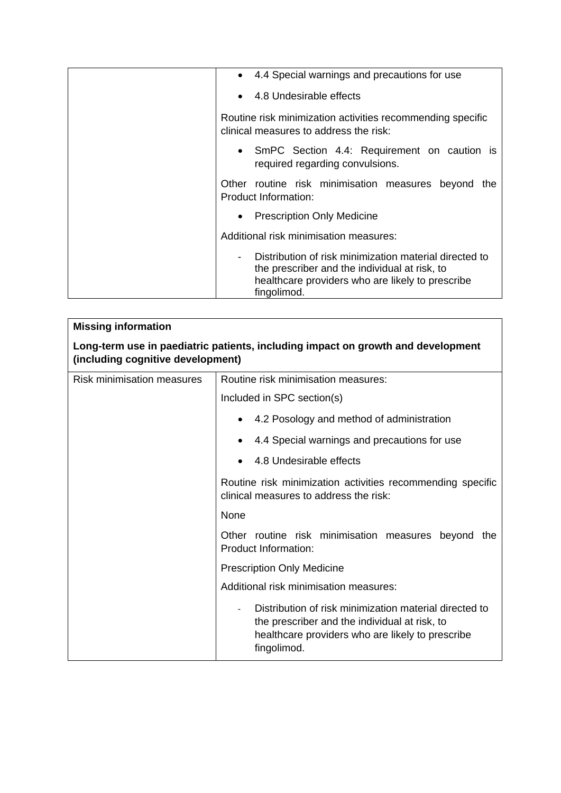| 4.4 Special warnings and precautions for use                                                                                                                               |
|----------------------------------------------------------------------------------------------------------------------------------------------------------------------------|
| 4.8 Undesirable effects                                                                                                                                                    |
| Routine risk minimization activities recommending specific<br>clinical measures to address the risk:                                                                       |
| • SmPC Section 4.4: Requirement on caution is<br>required regarding convulsions.                                                                                           |
| Other routine risk minimisation measures beyond<br>the<br>Product Information:                                                                                             |
| • Prescription Only Medicine                                                                                                                                               |
| Additional risk minimisation measures:                                                                                                                                     |
| Distribution of risk minimization material directed to<br>the prescriber and the individual at risk, to<br>healthcare providers who are likely to prescribe<br>fingolimod. |

| <b>Missing information</b>                                                                                            |                                                                                                                                                                            |
|-----------------------------------------------------------------------------------------------------------------------|----------------------------------------------------------------------------------------------------------------------------------------------------------------------------|
| Long-term use in paediatric patients, including impact on growth and development<br>(including cognitive development) |                                                                                                                                                                            |
| <b>Risk minimisation measures</b>                                                                                     | Routine risk minimisation measures:                                                                                                                                        |
|                                                                                                                       | Included in SPC section(s)                                                                                                                                                 |
|                                                                                                                       | 4.2 Posology and method of administration<br>$\bullet$                                                                                                                     |
|                                                                                                                       | 4.4 Special warnings and precautions for use                                                                                                                               |
|                                                                                                                       | 4.8 Undesirable effects                                                                                                                                                    |
|                                                                                                                       | Routine risk minimization activities recommending specific<br>clinical measures to address the risk:                                                                       |
|                                                                                                                       | None                                                                                                                                                                       |
|                                                                                                                       | Other routine risk minimisation measures beyond<br>the<br><b>Product Information:</b>                                                                                      |
|                                                                                                                       | <b>Prescription Only Medicine</b>                                                                                                                                          |
|                                                                                                                       | Additional risk minimisation measures:                                                                                                                                     |
|                                                                                                                       | Distribution of risk minimization material directed to<br>the prescriber and the individual at risk, to<br>healthcare providers who are likely to prescribe<br>fingolimod. |